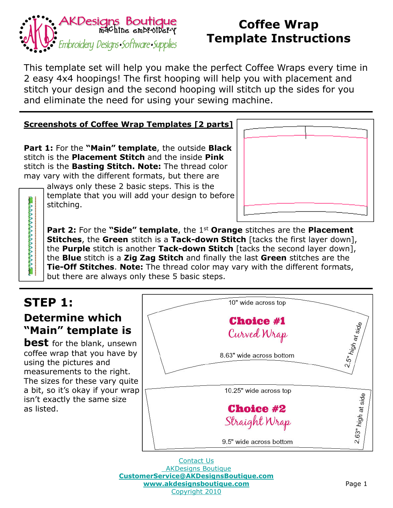

This template set will help you make the perfect Coffee Wraps every time in 2 easy 4x4 hoopings! The first hooping will help you with placement and stitch your design and the second hooping will stitch up the sides for you and eliminate the need for using your sewing machine.

#### **Screenshots of Coffee Wrap Templates [2 parts]**

**Part 1:** For the **"Main" template**, the outside **Black** stitch is the **Placement Stitch** and the inside **Pink** stitch is the **Basting Stitch. Note:** The thread color may vary with the different formats, but there are

always only these 2 basic steps. This is the template that you will add your design to before stitching.



**Part 2:** For the "Side" template, the 1<sup>st</sup> Orange stitches are the Placement **Stitches**, the **Green** stitch is a **Tack-down Stitch** [tacks the first layer down], the **Purple** stitch is another **Tack-down Stitch** [tacks the second layer down], the **Blue** stitch is a **Zig Zag Stitch** and finally the last **Green** stitches are the **Tie-Off Stitches**. **Note:** The thread color may vary with the different formats, but there are always only these 5 basic steps.

# **STEP 1:**

まんとうしんとうしんとうしんとう

#### **Determine which "Main" template is**

**best** for the blank, unsewn coffee wrap that you have by using the pictures and measurements to the right. The sizes for these vary quite a bit, so it's okay if your wrap isn't exactly the same size as listed.



Contact Us AKDesigns Boutique **CustomerService@AKDesignsBoutique.com www.akdesignsboutique.com** Copyright 2010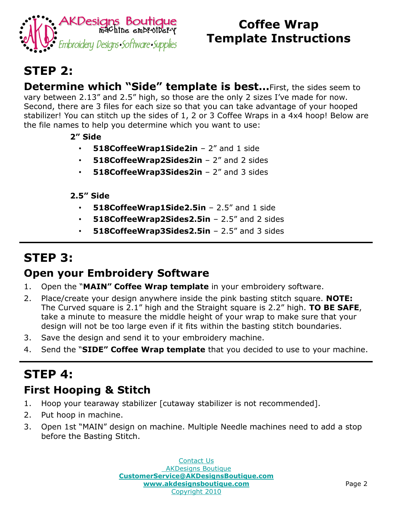

# **STEP 2:**

**Determine which "Side" template is best…**First, the sides seem to vary between 2.13" and 2.5" high, so those are the only 2 sizes I've made for now. Second, there are 3 files for each size so that you can take advantage of your hooped stabilizer! You can stitch up the sides of 1, 2 or 3 Coffee Wraps in a 4x4 hoop! Below are the file names to help you determine which you want to use:

- **2" Side**
	- **518CoffeeWrap1Side2in** 2" and 1 side
	- **518CoffeeWrap2Sides2in** 2" and 2 sides
	- **518CoffeeWrap3Sides2in** 2" and 3 sides

#### **2.5" Side**

- **518CoffeeWrap1Side2.5in** 2.5" and 1 side
- **518CoffeeWrap2Sides2.5in** 2.5" and 2 sides
- **518CoffeeWrap3Sides2.5in** 2.5" and 3 sides

# **STEP 3:**

#### **Open your Embroidery Software**

- 1. Open the "**MAIN" Coffee Wrap template** in your embroidery software.
- 2. Place/create your design anywhere inside the pink basting stitch square. **NOTE:** The Curved square is 2.1" high and the Straight square is 2.2" high. **TO BE SAFE**, take a minute to measure the middle height of your wrap to make sure that your design will not be too large even if it fits within the basting stitch boundaries.
- 3. Save the design and send it to your embroidery machine.
- 4. Send the "**SIDE" Coffee Wrap template** that you decided to use to your machine.

# **STEP 4:**

### **First Hooping & Stitch**

- 1. Hoop your tearaway stabilizer [cutaway stabilizer is not recommended].
- 2. Put hoop in machine.
- 3. Open 1st "MAIN" design on machine. Multiple Needle machines need to add a stop before the Basting Stitch.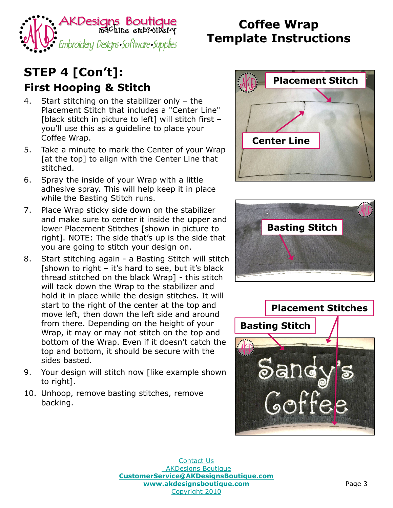

# **STEP 4 [Con't]:**

#### **First Hooping & Stitch**

- 4. Start stitching on the stabilizer only the Placement Stitch that includes a "Center Line" [black stitch in picture to left] will stitch first – you'll use this as a guideline to place your Coffee Wrap.
- 5. Take a minute to mark the Center of your Wrap [at the top] to align with the Center Line that stitched.
- 6. Spray the inside of your Wrap with a little adhesive spray. This will help keep it in place while the Basting Stitch runs.
- 7. Place Wrap sticky side down on the stabilizer and make sure to center it inside the upper and lower Placement Stitches [shown in picture to right]. NOTE: The side that's up is the side that you are going to stitch your design on.
- 8. Start stitching again a Basting Stitch will stitch [shown to right – it's hard to see, but it's black thread stitched on the black Wrap] - this stitch will tack down the Wrap to the stabilizer and hold it in place while the design stitches. It will start to the right of the center at the top and move left, then down the left side and around from there. Depending on the height of your Wrap, it may or may not stitch on the top and bottom of the Wrap. Even if it doesn't catch the top and bottom, it should be secure with the sides basted.
- 9. Your design will stitch now [like example shown to right].
- 10. Unhoop, remove basting stitches, remove backing.





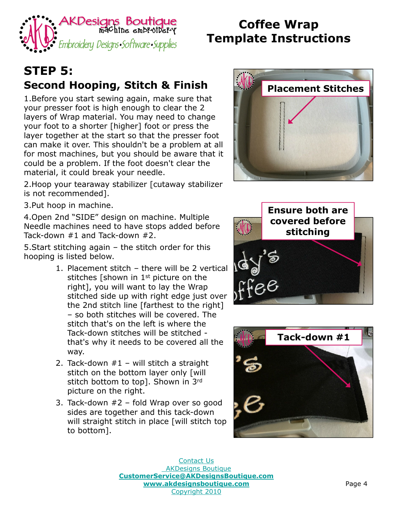

# **STEP 5: Second Hooping, Stitch & Finish**

1.Before you start sewing again, make sure that your presser foot is high enough to clear the 2 layers of Wrap material. You may need to change your foot to a shorter [higher] foot or press the layer together at the start so that the presser foot can make it over. This shouldn't be a problem at all for most machines, but you should be aware that it could be a problem. If the foot doesn't clear the material, it could break your needle.

2.Hoop your tearaway stabilizer [cutaway stabilizer is not recommended].

3.Put hoop in machine.

4.Open 2nd "SIDE" design on machine. Multiple Needle machines need to have stops added before Tack-down #1 and Tack-down #2.

5.Start stitching again – the stitch order for this hooping is listed below.

- 1. Placement stitch there will be 2 vertical stitches [shown in 1<sup>st</sup> picture on the right], you will want to lay the Wrap stitched side up with right edge just over the 2nd stitch line [farthest to the right] – so both stitches will be covered. The stitch that's on the left is where the Tack-down stitches will be stitched that's why it needs to be covered all the way.
- 2. Tack-down #1 will stitch a straight stitch on the bottom layer only [will] stitch bottom to top]. Shown in 3rd picture on the right.
- 3. Tack-down #2 fold Wrap over so good sides are together and this tack-down will straight stitch in place [will stitch top] to bottom].